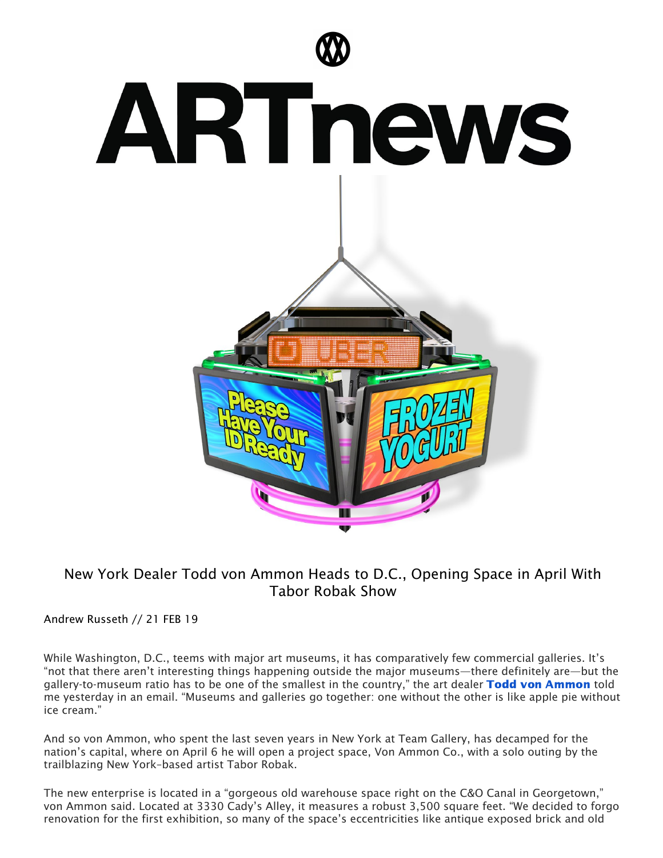

## New York Dealer Todd von Ammon Heads to D.C., Opening Space in April With Tabor Robak Show

Andrew Russeth // 21 FEB 19

While Washington, D.C., teems with major art museums, it has comparatively few commercial galleries. It's "not that there aren't interesting things happening outside the major museums—there definitely are—but the gallery-to-museum ratio has to be one of the smallest in the country," the art dealer Todd von [Ammon](https://www.artnews.com/t/todd-von-ammon/) told me yesterday in an email. "Museums and galleries go together: one without the other is like apple pie without ice cream."

And so von Ammon, who spent the last seven years in New York at Team Gallery, has decamped for the nation's capital, where on April 6 he will open a project space, Von Ammon Co., with a solo outing by the trailblazing New York–based artist Tabor Robak.

The new enterprise is located in a "gorgeous old warehouse space right on the C&O Canal in Georgetown," von Ammon said. Located at 3330 Cady's Alley, it measures a robust 3,500 square feet. "We decided to forgo renovation for the first exhibition, so many of the space's eccentricities like antique exposed brick and old